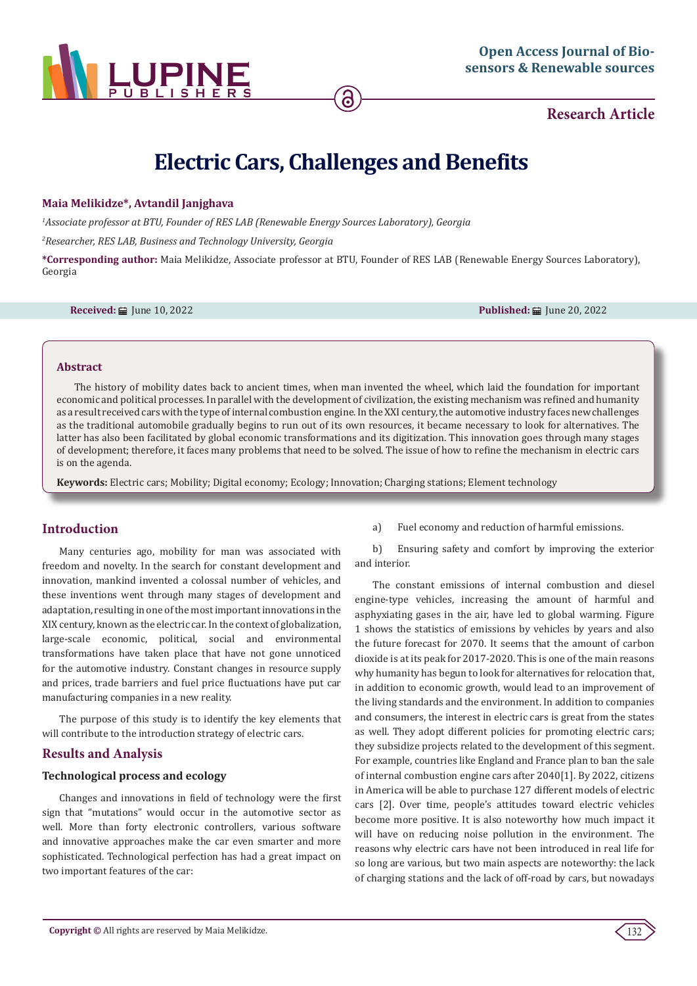

**Research Article**

# **Electric Cars, Challenges and Benefits**

#### **Maia Melikidze\*, Avtandil Janjghava**

*1 Associate professor at BTU, Founder of RES LAB (Renewable Energy Sources Laboratory), Georgia*

*2 Researcher, RES LAB, Business and Technology University, Georgia*

**\*Corresponding author:** Maia Melikidze, Associate professor at BTU, Founder of RES LAB (Renewable Energy Sources Laboratory), Georgia

**Received:** ■ June 10, 2022 **Published: ■ June 20, 2022 Published: ■ June 20, 2022** 

#### **Abstract**

The history of mobility dates back to ancient times, when man invented the wheel, which laid the foundation for important economic and political processes. In parallel with the development of civilization, the existing mechanism was refined and humanity as a result received cars with the type of internal combustion engine. In the XXI century, the automotive industry faces new challenges as the traditional automobile gradually begins to run out of its own resources, it became necessary to look for alternatives. The latter has also been facilitated by global economic transformations and its digitization. This innovation goes through many stages of development; therefore, it faces many problems that need to be solved. The issue of how to refine the mechanism in electric cars is on the agenda.

**Keywords:** Electric cars; Mobility; Digital economy; Ecology; Innovation; Charging stations; Element technology

## **Introduction**

Many centuries ago, mobility for man was associated with freedom and novelty. In the search for constant development and innovation, mankind invented a colossal number of vehicles, and these inventions went through many stages of development and adaptation, resulting in one of the most important innovations in the XIX century, known as the electric car. In the context of globalization, large-scale economic, political, social and environmental transformations have taken place that have not gone unnoticed for the automotive industry. Constant changes in resource supply and prices, trade barriers and fuel price fluctuations have put car manufacturing companies in a new reality.

The purpose of this study is to identify the key elements that will contribute to the introduction strategy of electric cars.

## **Results and Analysis**

### **Technological process and ecology**

Changes and innovations in field of technology were the first sign that "mutations" would occur in the automotive sector as well. More than forty electronic controllers, various software and innovative approaches make the car even smarter and more sophisticated. Technological perfection has had a great impact on two important features of the car:

a) Fuel economy and reduction of harmful emissions.

b) Ensuring safety and comfort by improving the exterior and interior.

The constant emissions of internal combustion and diesel engine-type vehicles, increasing the amount of harmful and asphyxiating gases in the air, have led to global warming. Figure 1 shows the statistics of emissions by vehicles by years and also the future forecast for 2070. It seems that the amount of carbon dioxide is at its peak for 2017-2020. This is one of the main reasons why humanity has begun to look for alternatives for relocation that, in addition to economic growth, would lead to an improvement of the living standards and the environment. In addition to companies and consumers, the interest in electric cars is great from the states as well. They adopt different policies for promoting electric cars; they subsidize projects related to the development of this segment. For example, countries like England and France plan to ban the sale of internal combustion engine cars after 2040[1]. By 2022, citizens in America will be able to purchase 127 different models of electric cars [2]. Over time, people's attitudes toward electric vehicles become more positive. It is also noteworthy how much impact it will have on reducing noise pollution in the environment. The reasons why electric cars have not been introduced in real life for so long are various, but two main aspects are noteworthy: the lack of charging stations and the lack of off-road by cars, but nowadays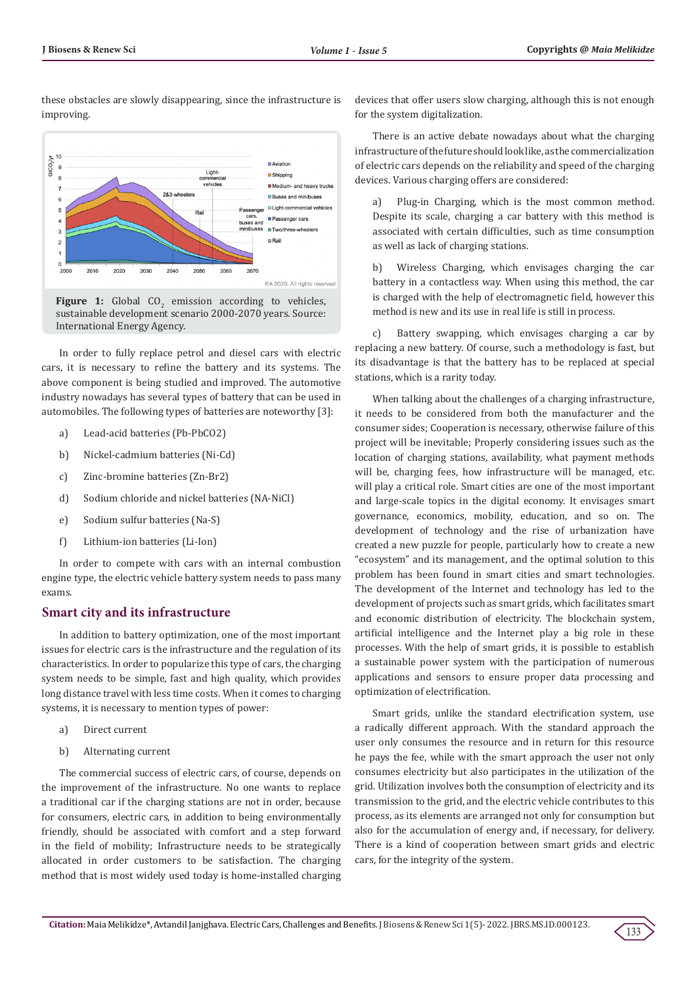these obstacles are slowly disappearing, since the infrastructure is improving.



**Figure 1:** Global  $CO<sub>2</sub>$  emission according to vehicles, sustainable development scenario 2000-2070 years. Source: International Energy Agency.

In order to fully replace petrol and diesel cars with electric cars, it is necessary to refine the battery and its systems. The above component is being studied and improved. The automotive industry nowadays has several types of battery that can be used in automobiles. The following types of batteries are noteworthy [3]:

- a) Lead-acid batteries (Pb-PbCO2)
- b) Nickel-cadmium batteries (Ni-Cd)
- c) Zinc-bromine batteries (Zn-Br2)
- d) Sodium chloride and nickel batteries (NA-NiCl)
- e) Sodium sulfur batteries (Na-S)
- f) Lithium-ion batteries (Li-Ion)

In order to compete with cars with an internal combustion engine type, the electric vehicle battery system needs to pass many exams.

#### **Smart city and its infrastructure**

In addition to battery optimization, one of the most important issues for electric cars is the infrastructure and the regulation of its characteristics. In order to popularize this type of cars, the charging system needs to be simple, fast and high quality, which provides long distance travel with less time costs. When it comes to charging systems, it is necessary to mention types of power:

- a) Direct current
- b) Alternating current

The commercial success of electric cars, of course, depends on the improvement of the infrastructure. No one wants to replace a traditional car if the charging stations are not in order, because for consumers, electric cars, in addition to being environmentally friendly, should be associated with comfort and a step forward in the field of mobility; Infrastructure needs to be strategically allocated in order customers to be satisfaction. The charging method that is most widely used today is home-installed charging

devices that offer users slow charging, although this is not enough for the system digitalization.

There is an active debate nowadays about what the charging infrastructure of the future should look like, as the commercialization of electric cars depends on the reliability and speed of the charging devices. Various charging offers are considered:

Plug-in Charging, which is the most common method. Despite its scale, charging a car battery with this method is associated with certain difficulties, such as time consumption as well as lack of charging stations.

b) Wireless Charging, which envisages charging the car battery in a contactless way. When using this method, the car is charged with the help of electromagnetic field, however this method is new and its use in real life is still in process.

c) Battery swapping, which envisages charging a car by replacing a new battery. Of course, such a methodology is fast, but its disadvantage is that the battery has to be replaced at special stations, which is a rarity today.

When talking about the challenges of a charging infrastructure, it needs to be considered from both the manufacturer and the consumer sides; Cooperation is necessary, otherwise failure of this project will be inevitable; Properly considering issues such as the location of charging stations, availability, what payment methods will be, charging fees, how infrastructure will be managed, etc. will play a critical role. Smart cities are one of the most important and large-scale topics in the digital economy. It envisages smart governance, economics, mobility, education, and so on. The development of technology and the rise of urbanization have created a new puzzle for people, particularly how to create a new "ecosystem" and its management, and the optimal solution to this problem has been found in smart cities and smart technologies. The development of the Internet and technology has led to the development of projects such as smart grids, which facilitates smart and economic distribution of electricity. The blockchain system, artificial intelligence and the Internet play a big role in these processes. With the help of smart grids, it is possible to establish a sustainable power system with the participation of numerous applications and sensors to ensure proper data processing and optimization of electrification.

Smart grids, unlike the standard electrification system, use a radically different approach. With the standard approach the user only consumes the resource and in return for this resource he pays the fee, while with the smart approach the user not only consumes electricity but also participates in the utilization of the grid. Utilization involves both the consumption of electricity and its transmission to the grid, and the electric vehicle contributes to this process, as its elements are arranged not only for consumption but also for the accumulation of energy and, if necessary, for delivery. There is a kind of cooperation between smart grids and electric cars, for the integrity of the system.